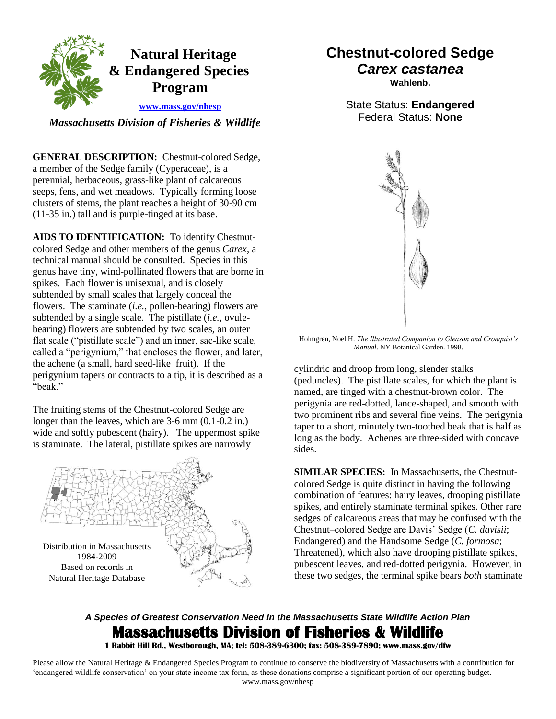

 *Massachusetts Division of Fisheries & Wildlife* 

**GENERAL DESCRIPTION:** Chestnut-colored Sedge, a member of the Sedge family (Cyperaceae), is a perennial, herbaceous, grass-like plant of calcareous seeps, fens, and wet meadows. Typically forming loose clusters of stems, the plant reaches a height of 30-90 cm (11-35 in.) tall and is purple-tinged at its base.

**AIDS TO IDENTIFICATION:** To identify Chestnutcolored Sedge and other members of the genus *Carex*, a technical manual should be consulted. Species in this genus have tiny, wind-pollinated flowers that are borne in spikes. Each flower is unisexual, and is closely subtended by small scales that largely conceal the flowers. The staminate (*i.e.*, pollen-bearing) flowers are subtended by a single scale. The pistillate (*i.e.*, ovulebearing) flowers are subtended by two scales, an outer flat scale ("pistillate scale") and an inner, sac-like scale, called a "perigynium," that encloses the flower, and later, the achene (a small, hard seed-like fruit). If the perigynium tapers or contracts to a tip, it is described as a "beak."

The fruiting stems of the Chestnut-colored Sedge are longer than the leaves, which are 3-6 mm (0.1-0.2 in.) wide and softly pubescent (hairy). The uppermost spike is staminate. The lateral, pistillate spikes are narrowly



# **Chestnut-colored Sedge** *Carex castanea*

**Wahlenb.**

State Status: **Endangered** Federal Status: **None**



Holmgren, Noel H. *The Illustrated Companion to Gleason and Cronquist's Manual*. NY Botanical Garden. 1998.

cylindric and droop from long, slender stalks (peduncles). The pistillate scales, for which the plant is named, are tinged with a chestnut-brown color. The perigynia are red-dotted, lance-shaped, and smooth with two prominent ribs and several fine veins. The perigynia taper to a short, minutely two-toothed beak that is half as long as the body. Achenes are three-sided with concave sides.

**SIMILAR SPECIES:** In Massachusetts, the Chestnutcolored Sedge is quite distinct in having the following combination of features: hairy leaves, drooping pistillate spikes, and entirely staminate terminal spikes. Other rare sedges of calcareous areas that may be confused with the Chestnut–colored Sedge are Davis' Sedge (*C. davisii*; Endangered) and the Handsome Sedge (*C. formosa*; Threatened), which also have drooping pistillate spikes, pubescent leaves, and red-dotted perigynia. However, in these two sedges, the terminal spike bears *both* staminate

# *A Species of Greatest Conservation Need in the Massachusetts State Wildlife Action Plan*  **Massachusetts Division of Fisheries & Wildlife**

**1 Rabbit Hill Rd., Westborough, MA; tel: 508-389-6300; fax: 508-389-7890; www.mass.gov/dfw** 

Please allow the Natural Heritage & Endangered Species Program to continue to conserve the biodiversity of Massachusetts with a contribution for 'endangered wildlife conservation' on your state income tax form, as these donations comprise a significant portion of our operating budget. www.mass.gov/nhesp